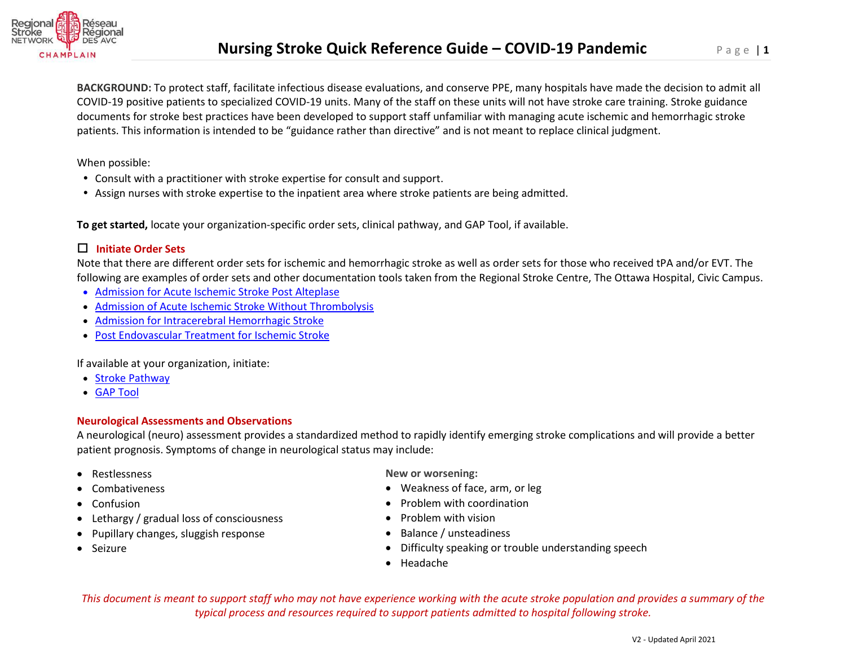

**BACKGROUND:** To protect staff, facilitate infectious disease evaluations, and conserve PPE, many hospitals have made the decision to admit all COVID-19 positive patients to specialized COVID-19 units. Many of the staff on these units will not have stroke care training. Stroke guidance documents for stroke best practices have been developed to support staff unfamiliar with managing acute ischemic and hemorrhagic stroke patients. This information is intended to be "guidance rather than directive" and is not meant to replace clinical judgment.

When possible:

- Consult with a practitioner with stroke expertise for consult and support.
- Assign nurses with stroke expertise to the inpatient area where stroke patients are being admitted.

**To get started,** locate your organization-specific order sets, clinical pathway, and GAP Tool, if available.

### **Initiate Order Sets**

Note that there are different order sets for ischemic and hemorrhagic stroke as well as order sets for those who received tPA and/or EVT. The following are examples of order sets and other documentation tools taken from the Regional Stroke Centre, The Ottawa Hospital, Civic Campus.

- [Admission for Acute Ischemic Stroke Post Alteplase](https://www.crsn.ca/images/2020/Private/SPO_CP_35_Post_Nov_2016.pdf)
- [Admission of Acute Ischemic Stroke Without Thrombolysis](https://www.crsn.ca/images/2020/Private/SPO_CP_35_NON_TPA_Nov_2016.pdf)
- [Admission for Intracerebral Hemorrhagic Stroke](https://www.crsn.ca/images/2020/Private/148910_-_SPO_CP_35_HEM_-_Proof_3.pdf)
- Post Endovascular Treatment [for Ischemic Stroke](https://www.crsn.ca/images/2020/Private/SPO_131-REV.pdf)

If available at your organization, initiate:

- [Stroke Pathway](https://www.crsn.ca/images/2020/Private/CP_135_A_Dec_2016.pdf)
- [GAP Tool](https://www.crsn.ca/images/2020/Private/GAP.pdf)

#### **Neurological Assessments and Observations**

A neurological (neuro) assessment provides a standardized method to rapidly identify emerging stroke complications and will provide a better patient prognosis. Symptoms of change in neurological status may include:

- Restlessness
- Combativeness
- Confusion
- Lethargy / gradual loss of consciousness
- Pupillary changes, sluggish response
- Seizure

**New or worsening:** 

- Weakness of face, arm, or leg
- Problem with coordination
- Problem with vision
- Balance / unsteadiness
- Difficulty speaking or trouble understanding speech
- Headache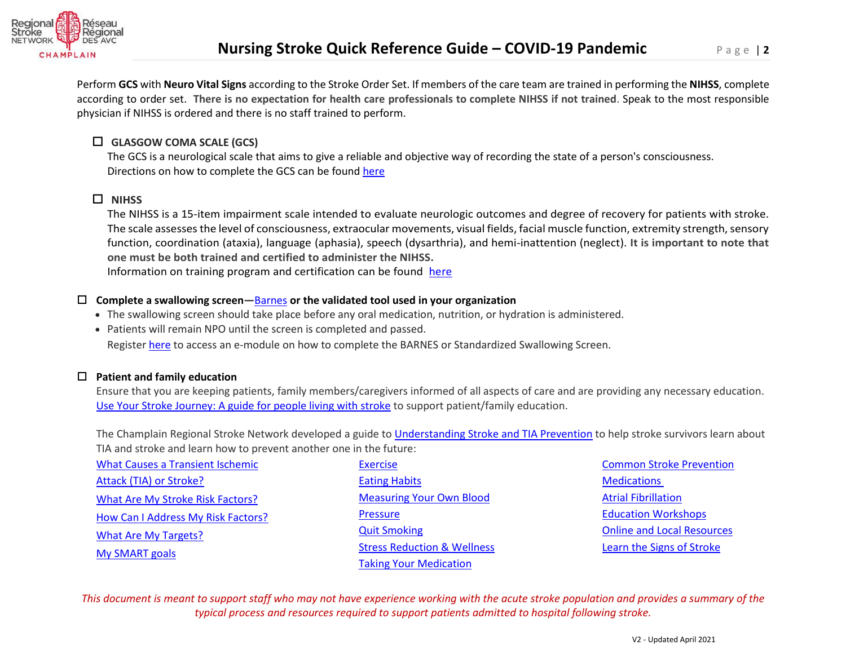

Perform **GCS** with **Neuro Vital Signs** according to the Stroke Order Set. If members of the care team are trained in performing the **NIHSS**, complete according to order set. **There is no expectation for health care professionals to complete NIHSS if not trained**. Speak to the most responsible physician if NIHSS is ordered and there is no staff trained to perform.

# **GLASGOW COMA SCALE (GCS)**

The GCS is a neurological scale that aims to give a reliable and objective way of recording the state of a person's consciousness. Directions on how to complete the GCS can be foun[d here](https://strokengine.ca/en/assessments/glasgow-coma-scale-gcs/)

# **NIHSS**

The NIHSS is a 15-item impairment scale intended to evaluate neurologic outcomes and degree of recovery for patients with stroke. The scale assesses the level of consciousness, extraocular movements, visual fields, facial muscle function, extremity strength, sensory function, coordination (ataxia), language (aphasia), speech (dysarthria), and hemi-inattention (neglect). **It is important to note that one must be both trained and certified to administer the NIHSS.**  Information on training program and certification can be found [here](https://www.corhealthontario.ca/resources-for-healthcare-planners-&-providers/stroke-general/professional-education-inventory/Acute-Neurological-Assessment)

# **Complete a swallowing screen—**[Barnes](https://www.crsn.ca/images/2020/Private/ASP_27_Mar_2017_002.pdf) **or the validated tool used in your organization**

- The swallowing screen should take place before any oral medication, nutrition, or hydration is administered.
- Patients will remain NPO until the screen is completed and passed.

Register [here](https://crsn.ca/en/education-training/lms-emodules) to access an e-module on how to complete the BARNES or Standardized Swallowing Screen.

# **Patient and family education**

Ensure that you are keeping patients, family members/caregivers informed of all aspects of care and are providing any necessary education. [Use Your Stroke Journey: A guide for people living with stroke](https://www.heartandstroke.ca/-/media/pdf-files/canada/your-stroke-journey/en-your-stroke-journey-v20.ashx) to support patient/family education.

The Champlain Regional Stroke Network developed a guide to [Understanding Stroke and TIA Prevention](https://crsn.ca/en/what-you-need-to-know-about-stroke) to help stroke survivors learn about TIA and stroke and learn how to prevent another one in the future:

| <b>What Causes a Transient Ischemic</b> | <b>Exercise</b>                        | <b>Common Stroke Prevention</b>   |
|-----------------------------------------|----------------------------------------|-----------------------------------|
| Attack (TIA) or Stroke?                 | <b>Eating Habits</b>                   | <b>Medications</b>                |
| What Are My Stroke Risk Factors?        | <b>Measuring Your Own Blood</b>        | <b>Atrial Fibrillation</b>        |
| How Can I Address My Risk Factors?      | <b>Pressure</b>                        | <b>Education Workshops</b>        |
| What Are My Targets?                    | <b>Quit Smoking</b>                    | <b>Online and Local Resources</b> |
| <b>My SMART goals</b>                   | <b>Stress Reduction &amp; Wellness</b> | Learn the Signs of Stroke         |
|                                         | <b>Taking Your Medication</b>          |                                   |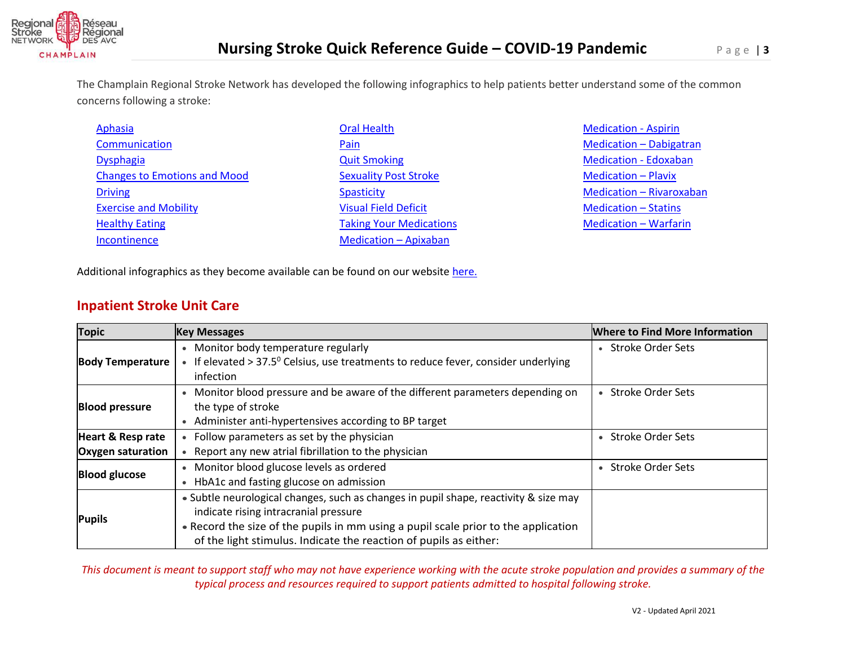

The Champlain Regional Stroke Network has developed the following infographics to help patients better understand some of the common concerns following a stroke:

| Aphasia                             | <b>Oral Health</b>             | <b>Medication - Aspirin</b>     |
|-------------------------------------|--------------------------------|---------------------------------|
| Communication                       | Pain                           | <b>Medication - Dabigatran</b>  |
| <b>Dysphagia</b>                    | <b>Quit Smoking</b>            | <b>Medication - Edoxaban</b>    |
| <b>Changes to Emotions and Mood</b> | <b>Sexuality Post Stroke</b>   | <b>Medication - Plavix</b>      |
| <b>Driving</b>                      | <b>Spasticity</b>              | <b>Medication - Rivaroxaban</b> |
| <b>Exercise and Mobility</b>        | <b>Visual Field Deficit</b>    | <b>Medication - Statins</b>     |
| <b>Healthy Eating</b>               | <b>Taking Your Medications</b> | <b>Medication - Warfarin</b>    |
| Incontinence                        | <b>Medication - Apixaban</b>   |                                 |

Additional infographics as they become available can be found on our website [here.](https://www.crsn.ca/en/clinical-tools-resources/clinical-tools-resources-3)

# **Inpatient Stroke Unit Care**

| <b>Topic</b>                 | <b>Key Messages</b>                                                                          | <b>Where to Find More Information</b> |
|------------------------------|----------------------------------------------------------------------------------------------|---------------------------------------|
| <b>Body Temperature</b>      | • Monitor body temperature regularly                                                         | <b>Stroke Order Sets</b>              |
|                              | • If elevated > 37.5 $^{\circ}$ Celsius, use treatments to reduce fever, consider underlying |                                       |
|                              | infection                                                                                    |                                       |
| <b>Blood pressure</b>        | • Monitor blood pressure and be aware of the different parameters depending on               | • Stroke Order Sets                   |
|                              | the type of stroke                                                                           |                                       |
|                              | • Administer anti-hypertensives according to BP target                                       |                                       |
| <b>Heart &amp; Resp rate</b> | • Follow parameters as set by the physician                                                  | • Stroke Order Sets                   |
| <b>Oxygen saturation</b>     | Report any new atrial fibrillation to the physician                                          |                                       |
| <b>Blood glucose</b>         | • Monitor blood glucose levels as ordered                                                    | • Stroke Order Sets                   |
|                              | • HbA1c and fasting glucose on admission                                                     |                                       |
| <b>Pupils</b>                | • Subtle neurological changes, such as changes in pupil shape, reactivity & size may         |                                       |
|                              | indicate rising intracranial pressure                                                        |                                       |
|                              | • Record the size of the pupils in mm using a pupil scale prior to the application           |                                       |
|                              | of the light stimulus. Indicate the reaction of pupils as either:                            |                                       |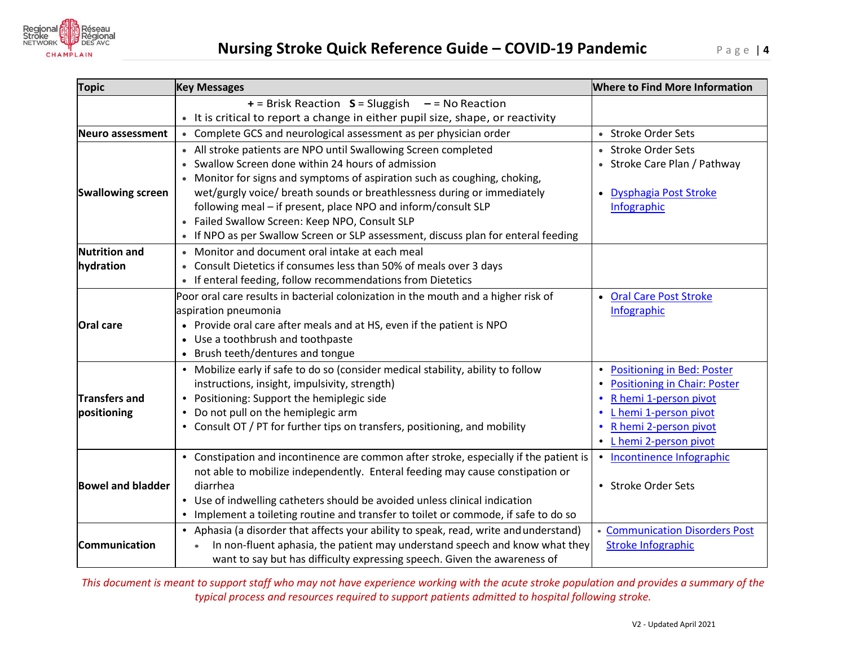

| <b>Topic</b>             | <b>Key Messages</b>                                                                   | <b>Where to Find More Information</b>            |
|--------------------------|---------------------------------------------------------------------------------------|--------------------------------------------------|
|                          | $+$ = Brisk Reaction $S =$ Sluggish $-$ = No Reaction                                 |                                                  |
|                          | • It is critical to report a change in either pupil size, shape, or reactivity        |                                                  |
| <b>Neuro assessment</b>  | • Complete GCS and neurological assessment as per physician order                     | • Stroke Order Sets                              |
|                          | • All stroke patients are NPO until Swallowing Screen completed                       | • Stroke Order Sets                              |
|                          | Swallow Screen done within 24 hours of admission                                      | • Stroke Care Plan / Pathway                     |
|                          | Monitor for signs and symptoms of aspiration such as coughing, choking,               |                                                  |
| <b>Swallowing screen</b> | wet/gurgly voice/ breath sounds or breathlessness during or immediately               | • Dysphagia Post Stroke                          |
|                          | following meal - if present, place NPO and inform/consult SLP                         | Infographic                                      |
|                          | • Failed Swallow Screen: Keep NPO, Consult SLP                                        |                                                  |
|                          | • If NPO as per Swallow Screen or SLP assessment, discuss plan for enteral feeding    |                                                  |
| <b>Nutrition and</b>     | • Monitor and document oral intake at each meal                                       |                                                  |
| hydration                | • Consult Dietetics if consumes less than 50% of meals over 3 days                    |                                                  |
|                          | • If enteral feeding, follow recommendations from Dietetics                           |                                                  |
|                          | Poor oral care results in bacterial colonization in the mouth and a higher risk of    | • Oral Care Post Stroke                          |
|                          | aspiration pneumonia                                                                  | Infographic                                      |
| <b>Oral care</b>         | • Provide oral care after meals and at HS, even if the patient is NPO                 |                                                  |
|                          | • Use a toothbrush and toothpaste                                                     |                                                  |
|                          | • Brush teeth/dentures and tongue                                                     |                                                  |
|                          | • Mobilize early if safe to do so (consider medical stability, ability to follow      | <b>Positioning in Bed: Poster</b>                |
|                          | instructions, insight, impulsivity, strength)                                         | <b>Positioning in Chair: Poster</b><br>$\bullet$ |
| <b>Transfers and</b>     | Positioning: Support the hemiplegic side                                              | R hemi 1-person pivot                            |
| positioning              | Do not pull on the hemiplegic arm                                                     | L hemi 1-person pivot                            |
|                          | • Consult OT / PT for further tips on transfers, positioning, and mobility            | R hemi 2-person pivot                            |
|                          |                                                                                       | • L hemi 2-person pivot                          |
|                          | • Constipation and incontinence are common after stroke, especially if the patient is | • Incontinence Infographic                       |
|                          | not able to mobilize independently. Enteral feeding may cause constipation or         |                                                  |
| <b>Bowel and bladder</b> | diarrhea                                                                              | • Stroke Order Sets                              |
|                          | • Use of indwelling catheters should be avoided unless clinical indication            |                                                  |
|                          | Implement a toileting routine and transfer to toilet or commode, if safe to do so     |                                                  |
|                          | • Aphasia (a disorder that affects your ability to speak, read, write and understand) | <b>Communication Disorders Post</b>              |
| <b>Communication</b>     | In non-fluent aphasia, the patient may understand speech and know what they           | <b>Stroke Infographic</b>                        |
|                          | want to say but has difficulty expressing speech. Given the awareness of              |                                                  |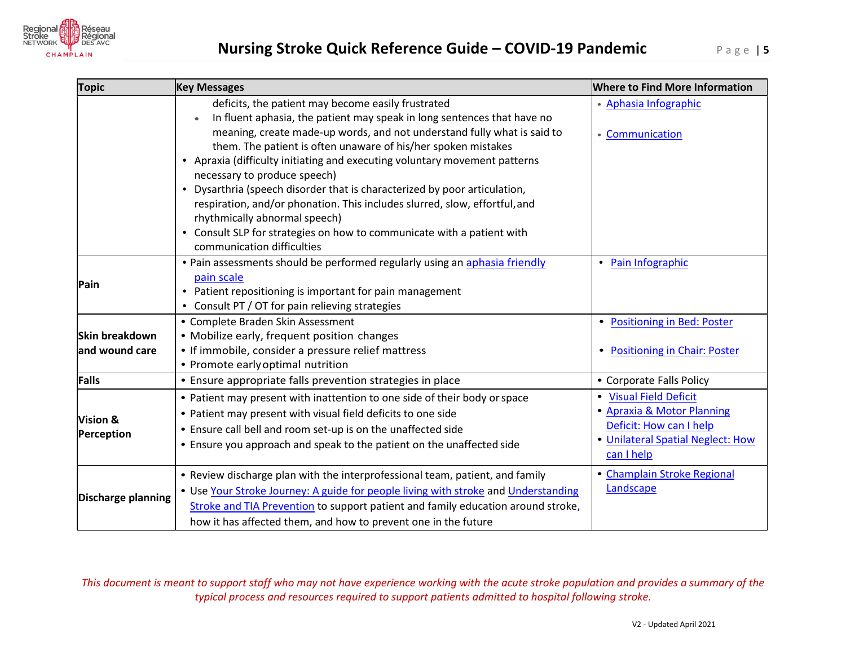

| <b>Topic</b>                      | <b>Key Messages</b>                                                                                                                                                                                                                                                                                                                                                                                                                                                                                                                                                                                                                                                                         | <b>Where to Find More Information</b>                                                                                              |
|-----------------------------------|---------------------------------------------------------------------------------------------------------------------------------------------------------------------------------------------------------------------------------------------------------------------------------------------------------------------------------------------------------------------------------------------------------------------------------------------------------------------------------------------------------------------------------------------------------------------------------------------------------------------------------------------------------------------------------------------|------------------------------------------------------------------------------------------------------------------------------------|
|                                   | deficits, the patient may become easily frustrated<br>In fluent aphasia, the patient may speak in long sentences that have no<br>meaning, create made-up words, and not understand fully what is said to<br>them. The patient is often unaware of his/her spoken mistakes<br>• Apraxia (difficulty initiating and executing voluntary movement patterns<br>necessary to produce speech)<br>• Dysarthria (speech disorder that is characterized by poor articulation,<br>respiration, and/or phonation. This includes slurred, slow, effortful, and<br>rhythmically abnormal speech)<br>• Consult SLP for strategies on how to communicate with a patient with<br>communication difficulties | • Aphasia Infographic<br>• Communication                                                                                           |
| Pain                              | . Pain assessments should be performed regularly using an aphasia friendly<br>pain scale<br>• Patient repositioning is important for pain management<br>Consult PT / OT for pain relieving strategies<br>$\bullet$                                                                                                                                                                                                                                                                                                                                                                                                                                                                          | • Pain Infographic                                                                                                                 |
| Skin breakdown<br>land wound care | • Complete Braden Skin Assessment<br>• Mobilize early, frequent position changes<br>• If immobile, consider a pressure relief mattress<br>• Promote early optimal nutrition                                                                                                                                                                                                                                                                                                                                                                                                                                                                                                                 | • Positioning in Bed: Poster<br>• Positioning in Chair: Poster                                                                     |
| <b>Falls</b>                      | • Ensure appropriate falls prevention strategies in place                                                                                                                                                                                                                                                                                                                                                                                                                                                                                                                                                                                                                                   | • Corporate Falls Policy                                                                                                           |
| Vision &<br>Perception            | • Patient may present with inattention to one side of their body or space<br>• Patient may present with visual field deficits to one side<br>• Ensure call bell and room set-up is on the unaffected side<br>• Ensure you approach and speak to the patient on the unaffected side                                                                                                                                                                                                                                                                                                                                                                                                          | • Visual Field Deficit<br>• Apraxia & Motor Planning<br>Deficit: How can I help<br>• Unilateral Spatial Neglect: How<br>can I help |
| Discharge planning                | • Review discharge plan with the interprofessional team, patient, and family<br>. Use Your Stroke Journey: A guide for people living with stroke and Understanding<br>Stroke and TIA Prevention to support patient and family education around stroke,<br>how it has affected them, and how to prevent one in the future                                                                                                                                                                                                                                                                                                                                                                    | • Champlain Stroke Regional<br>Landscape                                                                                           |